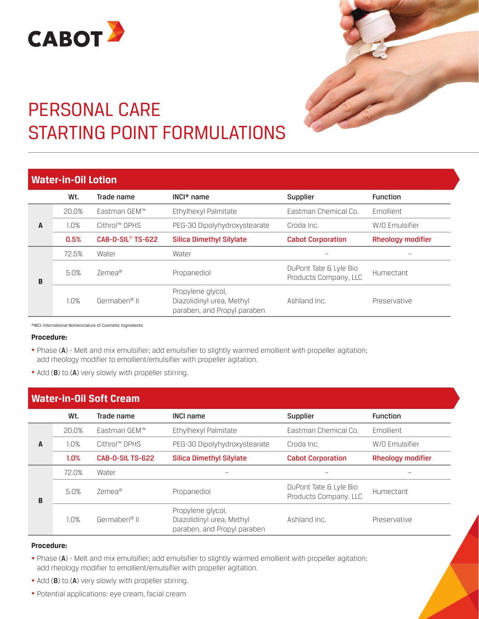



# PERSONAL CARE STARTING POINT FORMULATIONS

## **Water-in-Oil Lotion**

|   | Wt.   | Trade name                          | $INCI^*$ name                                                                 | Supplier                                        | <b>Function</b>          |
|---|-------|-------------------------------------|-------------------------------------------------------------------------------|-------------------------------------------------|--------------------------|
| A | 20.0% | Eastman GEM™                        | Ethylhexyl Palmitate                                                          | Eastman Chemical Co.                            | Emollient                |
|   | 1.0%  | Cithrol™ DPHS                       | PEG-30 Dipolyhydroxystearate                                                  | Croda Inc.                                      | W/O Emulsifier           |
|   | 0.5%  | <b>CAB-O-SIL<sup>®</sup> TS-622</b> | <b>Silica Dimethyl Silylate</b>                                               | <b>Cabot Corporation</b>                        | <b>Rheology modifier</b> |
| B | 72.5% | Water                               | Water                                                                         |                                                 |                          |
|   | 5.0%  | 7emea®                              | Propanediol                                                                   | DuPont Tate & Lyle Bio<br>Products Company, LLC | Humectant                |
|   | 1.0%  | Germaben <sup>®</sup> II            | Propylene glycol,<br>Diazolidinyl urea, Methyl<br>paraben, and Propyl paraben | Ashland Inc.                                    | Preservative             |

\*INCI: International Nomenclature of Cosmetic Ingredients

### **Procedure:**

- ¿ Phase (A) Melt and mix emulsifier; add emulsifier to slightly warmed emollient with propeller agitation; add rheology modifier to emollient/emulsifier with propeller agitation.
- Add (B) to (A) very slowly with propeller stirring.

| <b>Water-in-Oil Soft Cream</b> |       |                          |                                                                               |                                                 |                          |
|--------------------------------|-------|--------------------------|-------------------------------------------------------------------------------|-------------------------------------------------|--------------------------|
|                                | Wt.   | Trade name               | <b>INCI name</b>                                                              | <b>Supplier</b>                                 | <b>Function</b>          |
|                                | 20.0% | Eastman GEM™             | Ethylhexyl Palmitate                                                          | Eastman Chemical Co.                            | <b>Emollient</b>         |
| A                              | 1.0%  | Cithrol™ DPHS            | PEG-30 Dipolyhydroxystearate                                                  | Croda Inc.                                      | W/O Emulsifier           |
|                                | 1.0%  | <b>CAB-0-SIL TS-622</b>  | <b>Silica Dimethyl Silylate</b>                                               | <b>Cabot Corporation</b>                        | <b>Rheology modifier</b> |
| B                              | 72.0% | Water                    |                                                                               |                                                 |                          |
|                                | 5.0%  | Zemea <sup>®</sup>       | Propanediol                                                                   | DuPont Tate & Lyle Bio<br>Products Company, LLC | Humectant                |
|                                | 1.0%  | Germaben <sup>®</sup> II | Propylene glycol,<br>Diazolidinyl urea, Methyl<br>paraben, and Propyl paraben | Ashland Inc.                                    | Preservative             |

## **Procedure:**

- ¿ Phase (A) Melt and mix emulsifier; add emulsifier to slightly warmed emollient with propeller agitation; add rheology modifier to emollient/emulsifier with propeller agitation.
- Add (B) to (A) very slowly with propeller stirring.
- ¿ Potential applications: eye cream, facial cream